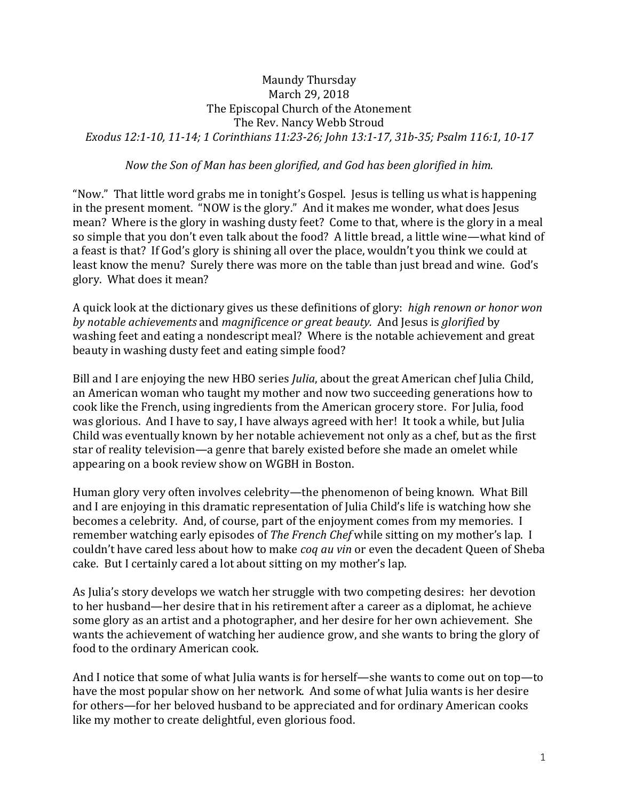## Maundy Thursday March 29, 2018 The Episcopal Church of the Atonement The Rev. Nancy Webb Stroud *Exodus 12:1-10, 11-14; 1 Corinthians 11:23-26; John 13:1-17, 31b-35; Psalm 116:1, 10-17*

## *Now the Son of Man has been glorified, and God has been glorified in him.*

"Now." That little word grabs me in tonight's Gospel. Jesus is telling us what is happening in the present moment. "NOW is the glory." And it makes me wonder, what does Jesus mean? Where is the glory in washing dusty feet? Come to that, where is the glory in a meal so simple that you don't even talk about the food? A little bread, a little wine—what kind of a feast is that? If God's glory is shining all over the place, wouldn't you think we could at least know the menu? Surely there was more on the table than just bread and wine. God's glory. What does it mean?

A quick look at the dictionary gives us these definitions of glory: *high renown or honor won by notable achievements* and *magnificence or great beauty.* And Jesus is *glorified* by washing feet and eating a nondescript meal? Where is the notable achievement and great beauty in washing dusty feet and eating simple food?

Bill and I are enjoying the new HBO series *Julia*, about the great American chef Julia Child, an American woman who taught my mother and now two succeeding generations how to cook like the French, using ingredients from the American grocery store. For Julia, food was glorious. And I have to say, I have always agreed with her! It took a while, but Julia Child was eventually known by her notable achievement not only as a chef, but as the first star of reality television—a genre that barely existed before she made an omelet while appearing on a book review show on WGBH in Boston.

Human glory very often involves celebrity—the phenomenon of being known. What Bill and I are enjoying in this dramatic representation of Julia Child's life is watching how she becomes a celebrity. And, of course, part of the enjoyment comes from my memories. I remember watching early episodes of *The French Chef* while sitting on my mother's lap. I couldn't have cared less about how to make *coq au vin* or even the decadent Queen of Sheba cake. But I certainly cared a lot about sitting on my mother's lap.

As Julia's story develops we watch her struggle with two competing desires: her devotion to her husband—her desire that in his retirement after a career as a diplomat, he achieve some glory as an artist and a photographer, and her desire for her own achievement. She wants the achievement of watching her audience grow, and she wants to bring the glory of food to the ordinary American cook.

And I notice that some of what Julia wants is for herself—she wants to come out on top—to have the most popular show on her network. And some of what Julia wants is her desire for others—for her beloved husband to be appreciated and for ordinary American cooks like my mother to create delightful, even glorious food.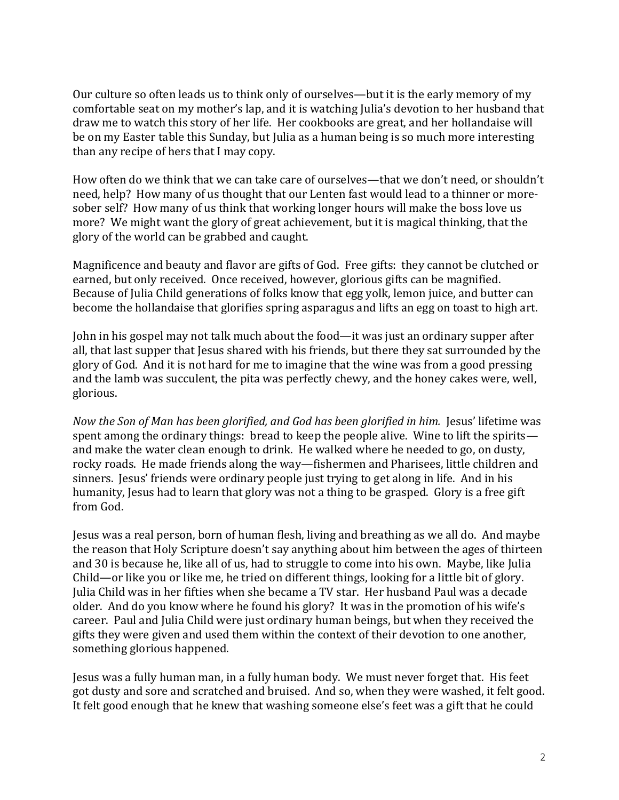Our culture so often leads us to think only of ourselves—but it is the early memory of my comfortable seat on my mother's lap, and it is watching Julia's devotion to her husband that draw me to watch this story of her life. Her cookbooks are great, and her hollandaise will be on my Easter table this Sunday, but Julia as a human being is so much more interesting than any recipe of hers that I may copy.

How often do we think that we can take care of ourselves—that we don't need, or shouldn't need, help? How many of us thought that our Lenten fast would lead to a thinner or moresober self? How many of us think that working longer hours will make the boss love us more? We might want the glory of great achievement, but it is magical thinking, that the glory of the world can be grabbed and caught.

Magnificence and beauty and flavor are gifts of God. Free gifts: they cannot be clutched or earned, but only received. Once received, however, glorious gifts can be magnified. Because of Julia Child generations of folks know that egg yolk, lemon juice, and butter can become the hollandaise that glorifies spring asparagus and lifts an egg on toast to high art.

John in his gospel may not talk much about the food—it was just an ordinary supper after all, that last supper that Jesus shared with his friends, but there they sat surrounded by the glory of God. And it is not hard for me to imagine that the wine was from a good pressing and the lamb was succulent, the pita was perfectly chewy, and the honey cakes were, well, glorious.

*Now the Son of Man has been glorified, and God has been glorified in him.* Jesus' lifetime was spent among the ordinary things: bread to keep the people alive. Wine to lift the spirits and make the water clean enough to drink. He walked where he needed to go, on dusty, rocky roads. He made friends along the way—fishermen and Pharisees, little children and sinners. Jesus' friends were ordinary people just trying to get along in life. And in his humanity, Jesus had to learn that glory was not a thing to be grasped. Glory is a free gift from God.

Jesus was a real person, born of human flesh, living and breathing as we all do. And maybe the reason that Holy Scripture doesn't say anything about him between the ages of thirteen and 30 is because he, like all of us, had to struggle to come into his own. Maybe, like Julia Child—or like you or like me, he tried on different things, looking for a little bit of glory. Julia Child was in her fifties when she became a TV star. Her husband Paul was a decade older. And do you know where he found his glory? It was in the promotion of his wife's career. Paul and Julia Child were just ordinary human beings, but when they received the gifts they were given and used them within the context of their devotion to one another, something glorious happened.

Jesus was a fully human man, in a fully human body. We must never forget that. His feet got dusty and sore and scratched and bruised. And so, when they were washed, it felt good. It felt good enough that he knew that washing someone else's feet was a gift that he could